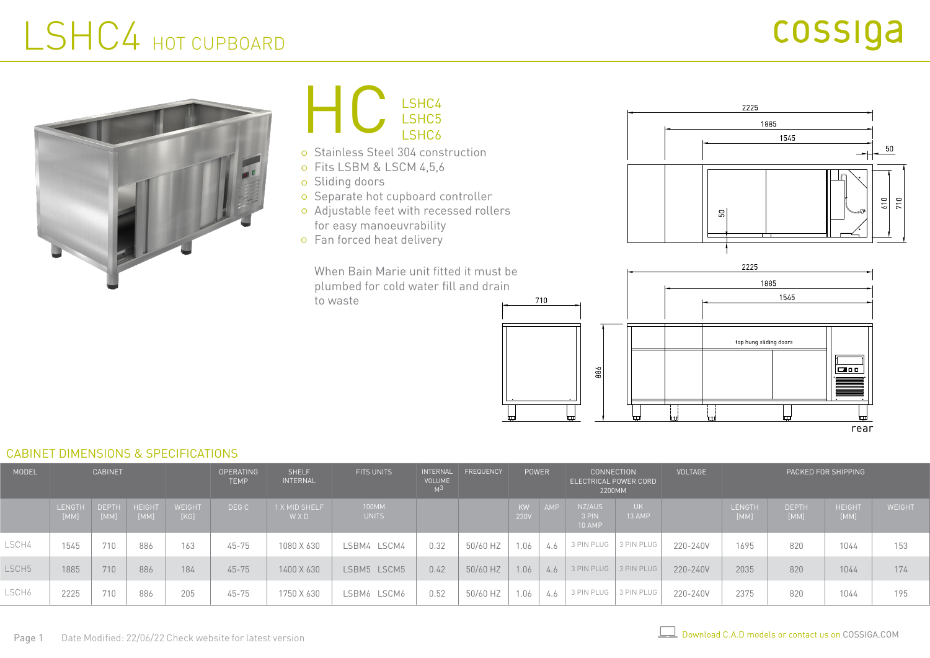# LSHC4 HOT CUPBOARD





- Sliding doors
- o Separate hot cupboard controller
- Adjustable feet with recessed rollers for easy manoeuvrability
- o Fan forced heat delivery

When Bain Marie unit fitted it must be plumbed for cold water fill and drain to waste





#### CABINET DIMENSIONS & SPECIFICATIONS

| <b>MODEL</b>      | <b>CABINET</b>        |                      |                       |                | <b>OPERATING</b><br><b>TEMP</b> | <b>SHELF</b><br><b>INTERNAL</b> | <b>FITS UNITS</b> | INTERNAL<br><b>VOLUME</b><br>м3 | FREQUENCY | <b>POWER</b>      |     | <b>CONNECTION</b><br>ELECTRICAL POWER CORD<br>2200MM |               | <b>VOLTAGE</b> | PACKED FOR SHIPPING   |                      |                |               |
|-------------------|-----------------------|----------------------|-----------------------|----------------|---------------------------------|---------------------------------|-------------------|---------------------------------|-----------|-------------------|-----|------------------------------------------------------|---------------|----------------|-----------------------|----------------------|----------------|---------------|
|                   | <b>LENGTH</b><br>[MM] | <b>DEPTH</b><br>[MM] | <b>HEIGHT</b><br>[MM] | WEIGHT<br>[KG] | DEG C                           | 1 X MID SHELF<br>WXD            | 100MM<br>UNITS    |                                 |           | <b>KW</b><br>230V |     | NZ/AUS<br>3 PIN<br><b>10 AMP</b>                     | UK.<br>13 AMP |                | <b>LENGTH</b><br>[MM] | <b>DEPTH</b><br>[MM] | HEIGHT<br>[MM] | <b>WEIGHT</b> |
| LSCH4             | 1545                  | 710                  | 886                   | 163            | $45 - 75$                       | 1080 X 630                      | LSBM4 LSCM4       | 0.32                            | 50/60 HZ  | 1.06              | 4.6 | 3 PIN PLUG                                           | 3 PIN PLUG    | 220-240V       | 1695                  | 820                  | 1044           | 153           |
| LSCH <sub>5</sub> | 1885                  | 710                  | 886                   | 184            | $45 - 75$                       | 1400 X 630                      | LSBM5 LSCM5       | 0.42                            | 50/60 HZ  | 1.06              | 4.6 | 3 PIN PLUG   3 PIN PLUG                              |               | 220-240V       | 2035                  | 820                  | 1044           | 174           |
| LSCH6             | 2225                  | 710                  | 886                   | 205            | $45 - 75$                       | 1750 X 630                      | LSBM6 LSCM6       | 0.52                            | 50/60 HZ  | 1.06              | 4.6 | 3 PIN PLUG                                           | 3 PIN PLUG    | 220-240V       | 2375                  | 820                  | 1044           | 195           |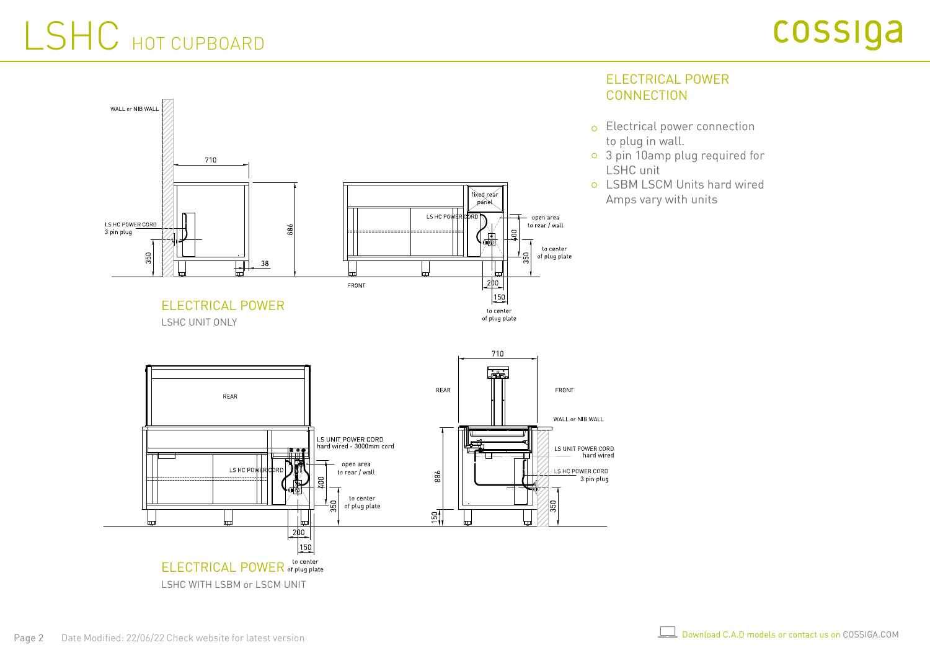# LSHC HOT CUPBOARD



### ELECTRICAL POWER **CONNECTION**

- Electrical power connection to plug in wall.
- 3 pin 10amp plug required for LSHC unit
- LSBM LSCM Units hard wired Amps vary with units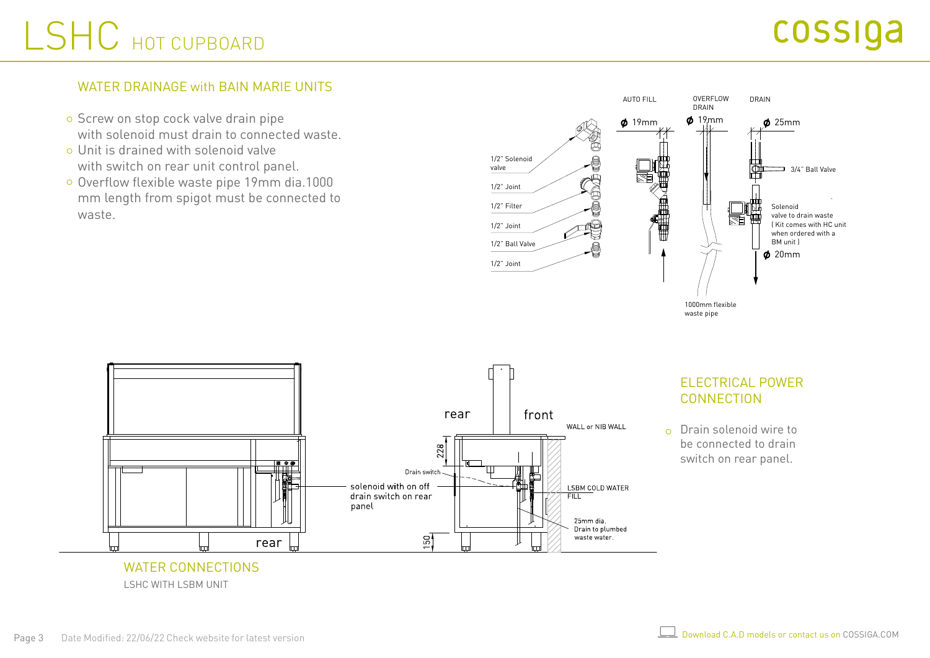# LSHC HOT CUPBOARD

### WATER DRAINAGE with BAIN MARIE UNITS

- o Screw on stop cock valve drain pipe with solenoid must drain to connected waste.
- Unit is drained with solenoid valve with switch on rear unit control panel.
- Overflow flexible waste pipe 19mm dia.1000 mm length from spigot must be connected to waste.





LSHC WITH LSBM UNIT

### ELECTRICAL POWER CONNECTION

 $\circ$  Drain solenoid wire to be connected to drain switch on rear panel.